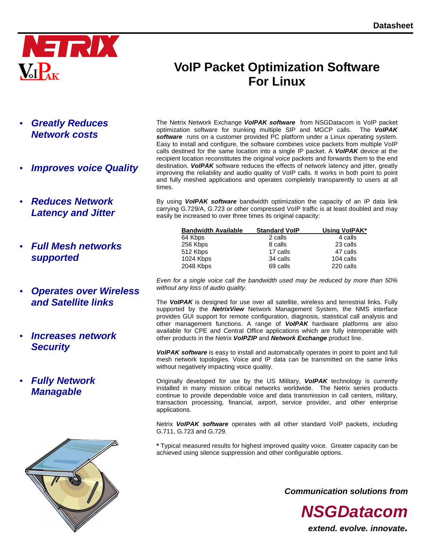

# **VoIP Packet Optimization Software For Linux**

- **Greatly Reduces Network costs**
- **Improves voice Quality**
- **Reduces Network Latency and Jitter**
- **Full Mesh networks supported**
- **Operates over Wireless and Satellite links**
- **Increases network Security**
- **Fully Network Managable**



The Netrix Network Exchange **VoIPAK software** from NSGDatacom is VoIP packet optimization software for trunking multiple SIP and MGCP calls. The **VoIPAK software** runs on a customer provided PC platform under a Linux operating system. Easy to install and configure, the software combines voice packets from multiple VoIP calls destined for the same location into a single IP packet. A **VoIPAK** device at the recipient location reconstitutes the original voice packets and forwards them to the end destination. **VoIPAK** software reduces the effects of network latency and jitter, greatly improving the reliability and audio quality of VoIP calls. It works in both point to point and fully meshed applications and operates completely transparently to users at all times.

By using **VoIPAK software** bandwidth optimization the capacity of an IP data link carrying G.729/A, G.723 or other compressed VoIP traffic is at least doubled and may easily be increased to over three times its original capacity:

| <b>Bandwidth Available</b> | <b>Standard VoIP</b> | Using VolPAK* |
|----------------------------|----------------------|---------------|
| 64 Kbps                    | 2 calls              | 4 calls       |
| 256 Kbps                   | 8 calls              | 23 calls      |
| 512 Kbps                   | 17 calls             | 47 calls      |
| 1024 Kbps                  | 34 calls             | 104 calls     |
| 2048 Kbps                  | 69 calls             | 220 calls     |

Even for a single voice call the bandwidth used may be reduced by more than 50% without any loss of audio quality.

The **VoIPAK** is designed for use over all satellite, wireless and terrestrial links. Fully supported by the **NetrixView** Network Management System, the NMS interface provides GUI support for remote configuration, diagnosis, statistical call analysis and other management functions. A range of **VoIPAK** hardware platforms are also available for CPE and Central Office applications which are fully interoperable with other products in the Netrix **VoIPZIP** and **Network Exchange** product line.

**VoIPAK software** is easy to install and automatically operates in point to point and full mesh network topologies. Voice and IP data can be transmitted on the same links without negatively impacting voice quality.

Originally developed for use by the US Military, **VoIPAK** technology is currently installed in many mission critical networks worldwide. The Netrix series products continue to provide dependable voice and data transmission in call centers, military, transaction processing, financial, airport, service provider, and other enterprise applications.

Netrix **VoIPAK software** operates with all other standard VoIP packets, including G.711, G.723 and G.729.

**\*** Typical measured results for highest improved quality voice. Greater capacity can be achieved using silence suppression and other configurable options.

**Communication solutions from** 

**NSGDatacom**

**extend. evolve. innovate.**